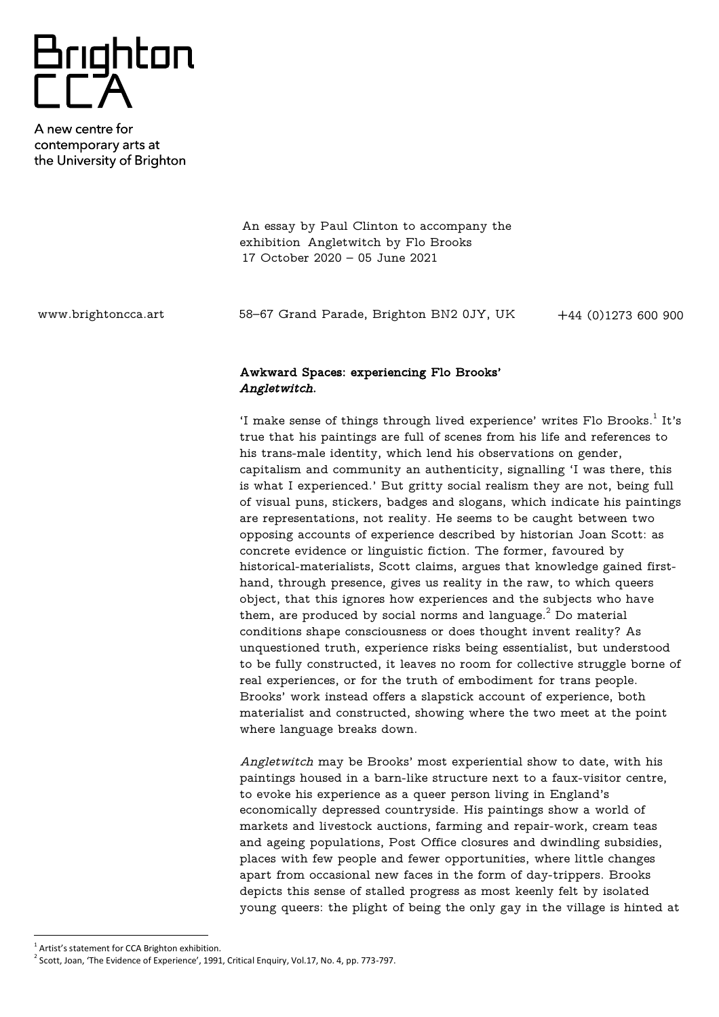## Brighton<br>CCA

A new centre for contemporary arts at the University of Brighton

> An essay by Paul Clinton to accompany the exhibition Angletwitch by Flo Brooks 17 October 2020 – 05 June 2021

www.brightoncca.art +44 (0)1273 600 900 58–67 Grand Parade, Brighton BN2 0JY, UK

## Awkward Spaces: experiencing Flo Brooks' Angletwitch.

'I make sense of things through lived experience' writes Flo Brooks. $^{\rm 1}$  It's true that his paintings are full of scenes from his life and references to his trans-male identity, which lend his observations on gender, capitalism and community an authenticity, signalling 'I was there, this is what I experienced.' But gritty social realism they are not, being full of visual puns, stickers, badges and slogans, which indicate his paintings are representations, not reality. He seems to be caught between two opposing accounts of experience described by historian Joan Scott: as concrete evidence or linguistic fiction. The former, favoured by historical-materialists, Scott claims, argues that knowledge gained firsthand, through presence, gives us reality in the raw, to which queers object, that this ignores how experiences and the subjects who have them, are produced by social norms and language. $^2$  Do material conditions shape consciousness or does thought invent reality? As unquestioned truth, experience risks being essentialist, but understood to be fully constructed, it leaves no room for collective struggle borne of real experiences, or for the truth of embodiment for trans people. Brooks' work instead offers a slapstick account of experience, both materialist and constructed, showing where the two meet at the point where language breaks down.

Angletwitch may be Brooks' most experiential show to date, with his paintings housed in a barn-like structure next to a faux-visitor centre, to evoke his experience as a queer person living in England's economically depressed countryside. His paintings show a world of markets and livestock auctions, farming and repair-work, cream teas and ageing populations, Post Office closures and dwindling subsidies, places with few people and fewer opportunities, where little changes apart from occasional new faces in the form of day-trippers. Brooks depicts this sense of stalled progress as most keenly felt by isolated young queers: the plight of being the only gay in the village is hinted at

<sup>&</sup>lt;sup>1</sup> Artist's statement for CCA Brighton exhibition.

 $^2$  Scott, Joan, 'The Evidence of Experience', 1991, Critical Enquiry, Vol.17, No. 4, pp. 773-797.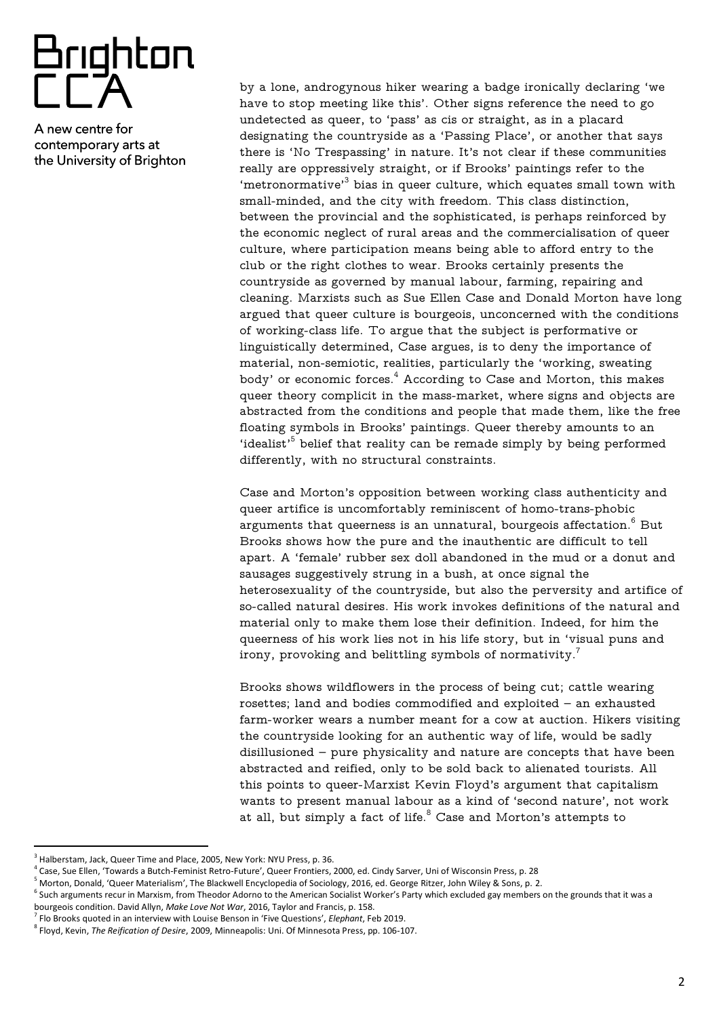## Brighton<br>FFA

A new centre for contemporary arts at the University of Brighton

by a lone, androgynous hiker wearing a badge ironically declaring 'we have to stop meeting like this'. Other signs reference the need to go undetected as queer, to 'pass' as cis or straight, as in a placard designating the countryside as a 'Passing Place', or another that says there is 'No Trespassing' in nature. It's not clear if these communities really are oppressively straight, or if Brooks' paintings refer to the 'metronormative' $^3$  bias in queer culture, which equates small town with small-minded, and the city with freedom. This class distinction, between the provincial and the sophisticated, is perhaps reinforced by the economic neglect of rural areas and the commercialisation of queer culture, where participation means being able to afford entry to the club or the right clothes to wear. Brooks certainly presents the countryside as governed by manual labour, farming, repairing and cleaning. Marxists such as Sue Ellen Case and Donald Morton have long argued that queer culture is bourgeois, unconcerned with the conditions of working-class life. To argue that the subject is performative or linguistically determined, Case argues, is to deny the importance of material, non-semiotic, realities, particularly the 'working, sweating body' or economic forces. $4$  According to Case and Morton, this makes queer theory complicit in the mass-market, where signs and objects are abstracted from the conditions and people that made them, like the free floating symbols in Brooks' paintings. Queer thereby amounts to an 'idealist' $5$  belief that reality can be remade simply by being performed differently, with no structural constraints.

Case and Morton's opposition between working class authenticity and queer artifice is uncomfortably reminiscent of homo-trans-phobic arguments that queerness is an unnatural, bourgeois affectation.<sup>6</sup> But Brooks shows how the pure and the inauthentic are difficult to tell apart. A 'female' rubber sex doll abandoned in the mud or a donut and sausages suggestively strung in a bush, at once signal the heterosexuality of the countryside, but also the perversity and artifice of so-called natural desires. His work invokes definitions of the natural and material only to make them lose their definition. Indeed, for him the queerness of his work lies not in his life story, but in 'visual puns and irony, provoking and belittling symbols of normativity. $^7$ 

Brooks shows wildflowers in the process of being cut; cattle wearing rosettes; land and bodies commodified and exploited – an exhausted farm-worker wears a number meant for a cow at auction. Hikers visiting the countryside looking for an authentic way of life, would be sadly disillusioned – pure physicality and nature are concepts that have been abstracted and reified, only to be sold back to alienated tourists. All this points to queer-Marxist Kevin Floyd's argument that capitalism wants to present manual labour as a kind of 'second nature', not work at all, but simply a fact of life. $8$  Case and Morton's attempts to

 $^3$  Halberstam, Jack, Queer Time and Place, 2005, New York: NYU Press, p. 36.

<sup>4</sup> Case, Sue Ellen, 'Towards a Butch-Feminist Retro-Future', Queer Frontiers, 2000, ed. Cindy Sarver, Uni of Wisconsin Press, p. 28

<sup>5</sup> Morton, Donald, 'Queer Materialism', The Blackwell Encyclopedia of Sociology, 2016, ed. George Ritzer, John Wiley & Sons, p. 2.

 $^6$  Such arguments recur in Marxism, from Theodor Adorno to the American Socialist Worker's Party which excluded gay members on the grounds that it was a bourgeois condition. David Allyn, *Make Love Not War*, 2016, Taylor and Francis, p. 158.

<sup>7</sup> Flo Brooks quoted in an interview with Louise Benson in 'Five Questions', *Elephant*, Feb 2019.

<sup>8</sup> Floyd, Kevin, *The Reification of Desire*, 2009, Minneapolis: Uni. Of Minnesota Press, pp. 106-107.